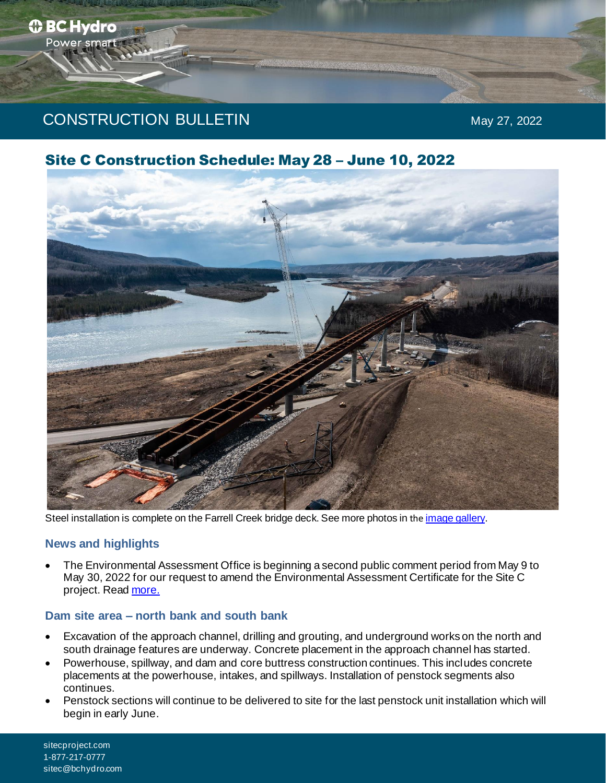*<b>O* BC Hydro Power smart

# Site C Construction Schedule: May 28 – June 10, 2022



Steel installation is complete on the Farrell Creek bridge deck. See more photos in the *[image gallery](https://www.sitecproject.com/construction-activities/photo-and-video-gallery)*.

### **News and highlights**

• The Environmental Assessment Office is beginning a second public comment period from May 9 to May 30, 2022 for our request to amend the Environmental Assessment Certificate for the Site C project. Rea[d more.](https://sitecproject.com/construction-activities/notification-information)

#### **Dam site area – north bank and south bank**

- Excavation of the approach channel, drilling and grouting, and underground works on the north and south drainage features are underway. Concrete placement in the approach channel has started.
- Powerhouse, spillway, and dam and core buttress construction continues. This includes concrete placements at the powerhouse, intakes, and spillways. Installation of penstock segments also continues.
- Penstock sections will continue to be delivered to site for the last penstock unit installation which will begin in early June.

sitecproject.com 1-877-217-0777 sitec@bchydro.com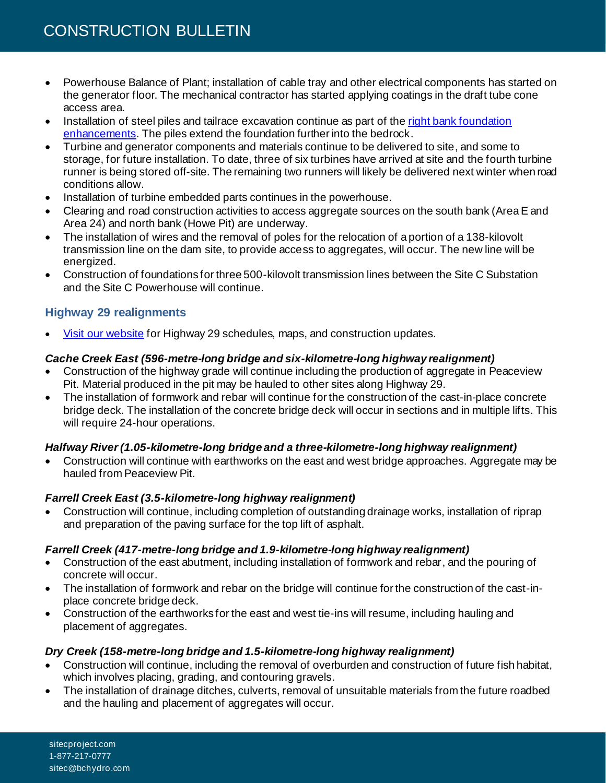- Powerhouse Balance of Plant; installation of cable tray and other electrical components has started on the generator floor. The mechanical contractor has started applying coatings in the draft tube cone access area.
- Installation of steel piles and tailrace excavation continue as part of the right bank foundation [enhancements.](https://www.sitecproject.com/construction-activities/foundation-enhancements) The piles extend the foundation further into the bedrock.
- Turbine and generator components and materials continue to be delivered to site, and some to storage, for future installation. To date, three of six turbines have arrived at site and the fourth turbine runner is being stored off-site. The remaining two runners will likely be delivered next winter when road conditions allow.
- Installation of turbine embedded parts continues in the powerhouse.
- Clearing and road construction activities to access aggregate sources on the south bank (Area E and Area 24) and north bank (Howe Pit) are underway.
- The installation of wires and the removal of poles for the relocation of a portion of a 138-kilovolt transmission line on the dam site, to provide access to aggregates, will occur. The new line will be energized.
- Construction of foundations for three 500-kilovolt transmission lines between the Site C Substation and the Site C Powerhouse will continue.

# **Highway 29 realignments**

• [Visit our website](https://www.sitecproject.com/construction-activities/highway-29) for Highway 29 schedules, maps, and construction updates.

### *Cache Creek East (596-metre-long bridge and six-kilometre-long highway realignment)*

- Construction of the highway grade will continue including the production of aggregate in Peaceview Pit. Material produced in the pit may be hauled to other sites along Highway 29.
- The installation of formwork and rebar will continue for the construction of the cast-in-place concrete bridge deck. The installation of the concrete bridge deck will occur in sections and in multiple lifts. This will require 24-hour operations.

### *Halfway River (1.05-kilometre-long bridge and a three-kilometre-long highway realignment)*

• Construction will continue with earthworks on the east and west bridge approaches. Aggregate may be hauled from Peaceview Pit.

### *Farrell Creek East (3.5-kilometre-long highway realignment)*

• Construction will continue, including completion of outstanding drainage works, installation of riprap and preparation of the paving surface for the top lift of asphalt.

### *Farrell Creek (417-metre-long bridge and 1.9-kilometre-long highway realignment)*

- Construction of the east abutment, including installation of formwork and rebar, and the pouring of concrete will occur.
- The installation of formwork and rebar on the bridge will continue for the construction of the cast-inplace concrete bridge deck.
- Construction of the earthworks for the east and west tie-ins will resume, including hauling and placement of aggregates.

### *Dry Creek (158-metre-long bridge and 1.5-kilometre-long highway realignment)*

- Construction will continue, including the removal of overburden and construction of future fish habitat, which involves placing, grading, and contouring gravels.
- The installation of drainage ditches, culverts, removal of unsuitable materials from the future roadbed and the hauling and placement of aggregates will occur.

sitecproject.com 1-877-217-0777 sitec@bchydro.com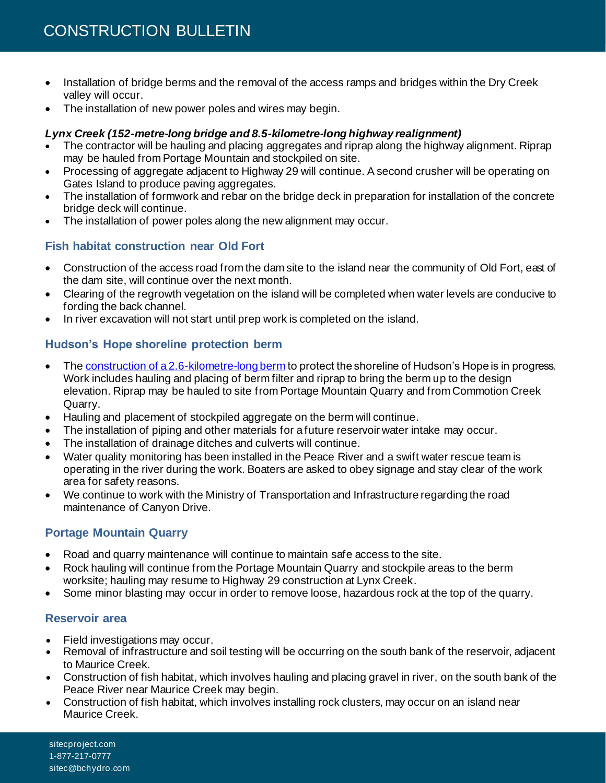- Installation of bridge berms and the removal of the access ramps and bridges within the Dry Creek valley will occur.
- The installation of new power poles and wires may begin.

### *Lynx Creek (152-metre-long bridge and 8.5-kilometre-long highway realignment)*

- The contractor will be hauling and placing aggregates and riprap along the highway alignment. Riprap may be hauled from Portage Mountain and stockpiled on site.
- Processing of aggregate adjacent to Highway 29 will continue. A second crusher will be operating on Gates Island to produce paving aggregates.
- The installation of formwork and rebar on the bridge deck in preparation for installation of the concrete bridge deck will continue.
- The installation of power poles along the new alignment may occur.

## **Fish habitat construction near Old Fort**

- Construction of the access road from the dam site to the island near the community of Old Fort, east of the dam site, will continue over the next month.
- Clearing of the regrowth vegetation on the island will be completed when water levels are conducive to fording the back channel.
- In river excavation will not start until prep work is completed on the island.

# **Hudson's Hope shoreline protection berm**

- Th[e construction of a 2.6-kilometre-long berm](https://www.sitecproject.com/hudsons-hope) to protect the shoreline of Hudson's Hope is in progress. Work includes hauling and placing of berm filter and riprap to bring the berm up to the design elevation. Riprap may be hauled to site from Portage Mountain Quarry and from Commotion Creek Quarry.
- Hauling and placement of stockpiled aggregate on the berm will continue.
- The installation of piping and other materials for a future reservoir water intake may occur.
- The installation of drainage ditches and culverts will continue.
- Water quality monitoring has been installed in the Peace River and a swift water rescue team is operating in the river during the work. Boaters are asked to obey signage and stay clear of the work area for safety reasons.
- We continue to work with the Ministry of Transportation and Infrastructure regarding the road maintenance of Canyon Drive.

# **Portage Mountain Quarry**

- Road and quarry maintenance will continue to maintain safe access to the site.
- Rock hauling will continue from the Portage Mountain Quarry and stockpile areas to the berm worksite; hauling may resume to Highway 29 construction at Lynx Creek.
- Some minor blasting may occur in order to remove loose, hazardous rock at the top of the quarry.

### **Reservoir area**

- Field investigations may occur.
- Removal of infrastructure and soil testing will be occurring on the south bank of the reservoir, adjacent to Maurice Creek.
- Construction of fish habitat, which involves hauling and placing gravel in river, on the south bank of the Peace River near Maurice Creek may begin.
- Construction of fish habitat, which involves installing rock clusters, may occur on an island near Maurice Creek.

sitecproject.com 1-877-217-0777 sitec@bchydro.com